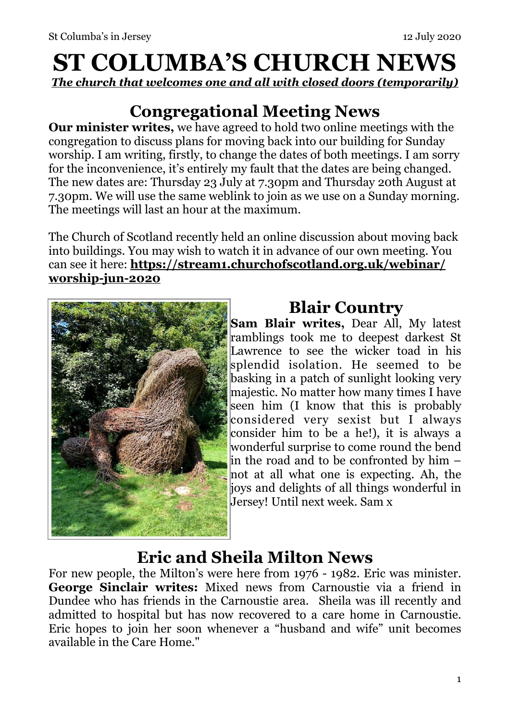# **ST COLUMBA'S CHURCH NEWS**

*The church that welcomes one and all with closed doors (temporarily)* 

### **Congregational Meeting News**

**Our minister writes,** we have agreed to hold two online meetings with the congregation to discuss plans for moving back into our building for Sunday worship. I am writing, firstly, to change the dates of both meetings. I am sorry for the inconvenience, it's entirely my fault that the dates are being changed. The new dates are: Thursday 23 July at 7.30pm and Thursday 20th August at 7.30pm. We will use the same weblink to join as we use on a Sunday morning. The meetings will last an hour at the maximum.

The Church of Scotland recently held an online discussion about moving back into buildings. You may wish to watch it in advance of our own meeting. You can see it here: **[https://stream1.churchofscotland.org.uk/webinar/](https://stream1.churchofscotland.org.uk/webinar/worship-jun-2020) [worship-jun-2020](https://stream1.churchofscotland.org.uk/webinar/worship-jun-2020)**



### **Blair Country**

**Sam Blair writes,** Dear All, My latest ramblings took me to deepest darkest St Lawrence to see the wicker toad in his splendid isolation. He seemed to be basking in a patch of sunlight looking very majestic. No matter how many times I have seen him (I know that this is probably considered very sexist but I always consider him to be a he!), it is always a wonderful surprise to come round the bend in the road and to be confronted by him – not at all what one is expecting. Ah, the joys and delights of all things wonderful in Jersey! Until next week. Sam x

### **Eric and Sheila Milton News**

For new people, the Milton's were here from 1976 - 1982. Eric was minister. **George Sinclair writes:** Mixed news from Carnoustie via a friend in Dundee who has friends in the Carnoustie area. Sheila was ill recently and admitted to hospital but has now recovered to a care home in Carnoustie. Eric hopes to join her soon whenever a "husband and wife" unit becomes available in the Care Home."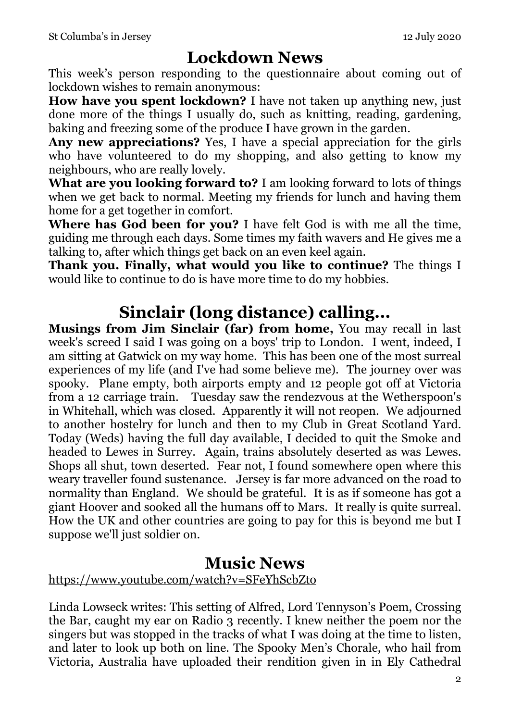### **Lockdown News**

This week's person responding to the questionnaire about coming out of lockdown wishes to remain anonymous:

**How have you spent lockdown?** I have not taken up anything new, just done more of the things I usually do, such as knitting, reading, gardening, baking and freezing some of the produce I have grown in the garden.

**Any new appreciations?** Yes, I have a special appreciation for the girls who have volunteered to do my shopping, and also getting to know my neighbours, who are really lovely.

**What are you looking forward to?** I am looking forward to lots of things when we get back to normal. Meeting my friends for lunch and having them home for a get together in comfort.

**Where has God been for you?** I have felt God is with me all the time, guiding me through each days. Some times my faith wavers and He gives me a talking to, after which things get back on an even keel again.

**Thank you. Finally, what would you like to continue?** The things I would like to continue to do is have more time to do my hobbies.

### **Sinclair (long distance) calling...**

**Musings from Jim Sinclair (far) from home,** You may recall in last week's screed I said I was going on a boys' trip to London. I went, indeed, I am sitting at Gatwick on my way home. This has been one of the most surreal experiences of my life (and I've had some believe me). The journey over was spooky. Plane empty, both airports empty and 12 people got off at Victoria from a 12 carriage train. Tuesday saw the rendezvous at the Wetherspoon's in Whitehall, which was closed. Apparently it will not reopen. We adjourned to another hostelry for lunch and then to my Club in Great Scotland Yard. Today (Weds) having the full day available, I decided to quit the Smoke and headed to Lewes in Surrey. Again, trains absolutely deserted as was Lewes. Shops all shut, town deserted. Fear not, I found somewhere open where this weary traveller found sustenance. Jersey is far more advanced on the road to normality than England. We should be grateful. It is as if someone has got a giant Hoover and sooked all the humans off to Mars. It really is quite surreal. How the UK and other countries are going to pay for this is beyond me but I suppose we'll just soldier on.

### **Music News**

### [https://www.youtube.com/watch?v=SFeYhScbZto](https://protect-eu.mimecast.com/s/p3W-Cq7Enf8Xw10FZdqPJ?domain=youtube.com)

Linda Lowseck writes: This setting of Alfred, Lord Tennyson's Poem, Crossing the Bar, caught my ear on Radio 3 recently. I knew neither the poem nor the singers but was stopped in the tracks of what I was doing at the time to listen, and later to look up both on line. The Spooky Men's Chorale, who hail from Victoria, Australia have uploaded their rendition given in in Ely Cathedral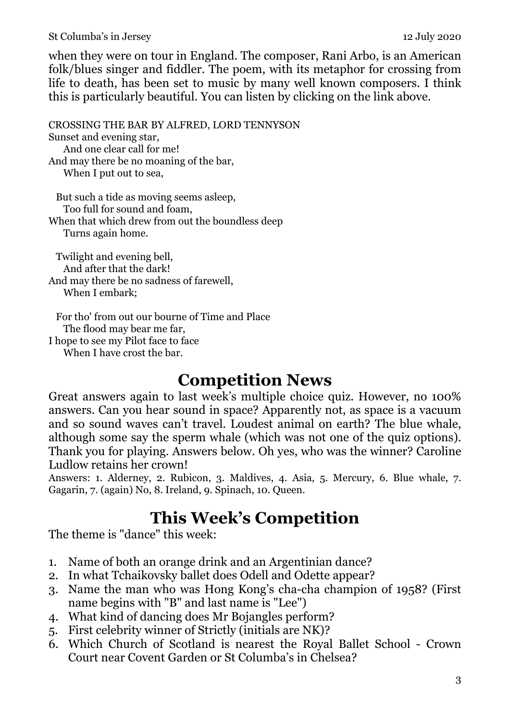#### St Columba's in Jersey 12 July 2020

when they were on tour in England. The composer, Rani Arbo, is an American folk/blues singer and fiddler. The poem, with its metaphor for crossing from life to death, has been set to music by many well known composers. I think this is particularly beautiful. You can listen by clicking on the link above.

CROSSING THE BAR BY [ALFRED, LORD TENNYSON](https://protect-eu.mimecast.com/s/NEzyCr8GoC82JrVFzfEc6?domain=poetryfoundation.org) Sunset and evening star, And one clear call for me! And may there be no moaning of the bar, When I put out to sea,

 But such a tide as moving seems asleep, Too full for sound and foam, When that which drew from out the boundless deep Turns again home.

 Twilight and evening bell, And after that the dark! And may there be no sadness of farewell, When I embark;

 For tho' from out our bourne of Time and Place The flood may bear me far, I hope to see my Pilot face to face When I have crost the bar.

### **Competition News**

Great answers again to last week's multiple choice quiz. However, no 100% answers. Can you hear sound in space? Apparently not, as space is a vacuum and so sound waves can't travel. Loudest animal on earth? The blue whale, although some say the sperm whale (which was not one of the quiz options). Thank you for playing. Answers below. Oh yes, who was the winner? Caroline Ludlow retains her crown!

Answers: 1. Alderney, 2. Rubicon, 3. Maldives, 4. Asia, 5. Mercury, 6. Blue whale, 7. Gagarin, 7. (again) No, 8. Ireland, 9. Spinach, 10. Queen.

### **This Week's Competition**

The theme is "dance" this week:

- 1. Name of both an orange drink and an Argentinian dance?
- 2. In what Tchaikovsky ballet does Odell and Odette appear?
- 3. Name the man who was Hong Kong's cha-cha champion of 1958? (First name begins with "B" and last name is "Lee")
- 4. What kind of dancing does Mr Bojangles perform?
- 5. First celebrity winner of Strictly (initials are NK)?
- 6. Which Church of Scotland is nearest the Royal Ballet School Crown Court near Covent Garden or St Columba's in Chelsea?